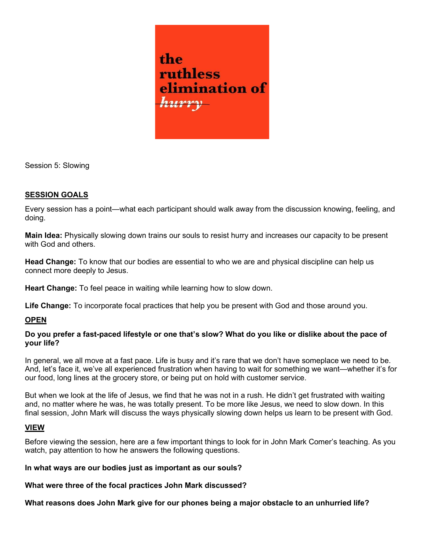

Session 5: Slowing

# SESSION GOALS

Every session has a point—what each participant should walk away from the discussion knowing, feeling, and doing.

Main Idea: Physically slowing down trains our souls to resist hurry and increases our capacity to be present with God and others.

Head Change: To know that our bodies are essential to who we are and physical discipline can help us connect more deeply to Jesus.

Heart Change: To feel peace in waiting while learning how to slow down.

Life Change: To incorporate focal practices that help you be present with God and those around you.

# **OPEN**

### Do you prefer a fast-paced lifestyle or one that's slow? What do you like or dislike about the pace of your life?

In general, we all move at a fast pace. Life is busy and it's rare that we don't have someplace we need to be. And, let's face it, we've all experienced frustration when having to wait for something we want—whether it's for our food, long lines at the grocery store, or being put on hold with customer service.

But when we look at the life of Jesus, we find that he was not in a rush. He didn't get frustrated with waiting and, no matter where he was, he was totally present. To be more like Jesus, we need to slow down. In this final session, John Mark will discuss the ways physically slowing down helps us learn to be present with God.

### VIEW

Before viewing the session, here are a few important things to look for in John Mark Comer's teaching. As you watch, pay attention to how he answers the following questions.

#### In what ways are our bodies just as important as our souls?

What were three of the focal practices John Mark discussed?

What reasons does John Mark give for our phones being a major obstacle to an unhurried life?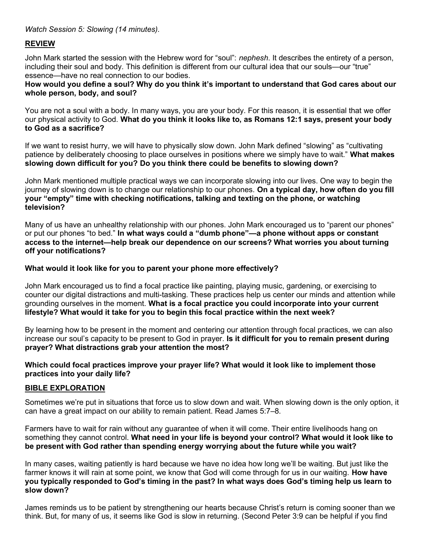# Watch Session 5: Slowing (14 minutes).

### REVIEW

John Mark started the session with the Hebrew word for "soul": *nephesh*. It describes the entirety of a person, including their soul and body. This definition is different from our cultural idea that our souls—our "true" essence—have no real connection to our bodies.

How would you define a soul? Why do you think it's important to understand that God cares about our whole person, body, and soul?

You are not a soul with a body. In many ways, you are your body. For this reason, it is essential that we offer our physical activity to God. What do you think it looks like to, as Romans 12:1 says, present your body to God as a sacrifice?

If we want to resist hurry, we will have to physically slow down. John Mark defined "slowing" as "cultivating patience by deliberately choosing to place ourselves in positions where we simply have to wait." What makes slowing down difficult for you? Do you think there could be benefits to slowing down?

John Mark mentioned multiple practical ways we can incorporate slowing into our lives. One way to begin the journey of slowing down is to change our relationship to our phones. On a typical day, how often do you fill your "empty" time with checking notifications, talking and texting on the phone, or watching television?

Many of us have an unhealthy relationship with our phones. John Mark encouraged us to "parent our phones" or put our phones "to bed." In what ways could a "dumb phone"—a phone without apps or constant access to the internet—help break our dependence on our screens? What worries you about turning off your notifications?

#### What would it look like for you to parent your phone more effectively?

John Mark encouraged us to find a focal practice like painting, playing music, gardening, or exercising to counter our digital distractions and multi-tasking. These practices help us center our minds and attention while grounding ourselves in the moment. What is a focal practice you could incorporate into your current lifestyle? What would it take for you to begin this focal practice within the next week?

By learning how to be present in the moment and centering our attention through focal practices, we can also increase our soul's capacity to be present to God in prayer. Is it difficult for you to remain present during prayer? What distractions grab your attention the most?

### Which could focal practices improve your prayer life? What would it look like to implement those practices into your daily life?

#### BIBLE EXPLORATION

Sometimes we're put in situations that force us to slow down and wait. When slowing down is the only option, it can have a great impact on our ability to remain patient. Read James 5:7–8.

Farmers have to wait for rain without any guarantee of when it will come. Their entire livelihoods hang on something they cannot control. What need in your life is beyond your control? What would it look like to be present with God rather than spending energy worrying about the future while you wait?

In many cases, waiting patiently is hard because we have no idea how long we'll be waiting. But just like the farmer knows it will rain at some point, we know that God will come through for us in our waiting. How have you typically responded to God's timing in the past? In what ways does God's timing help us learn to slow down?

James reminds us to be patient by strengthening our hearts because Christ's return is coming sooner than we think. But, for many of us, it seems like God is slow in returning. (Second Peter 3:9 can be helpful if you find